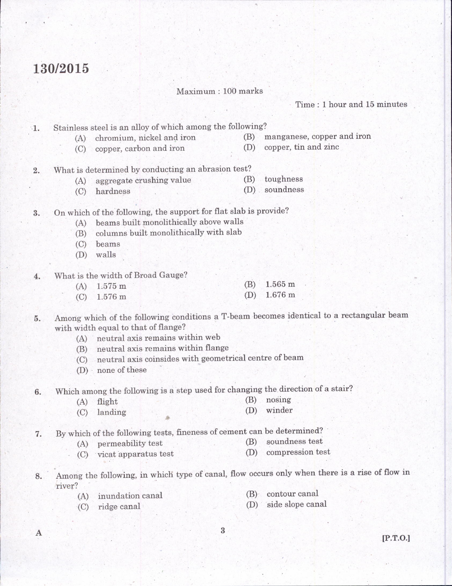## 130/2015

Time: 1 hour and 15 minutes

Maximum: 100 marks Stainless steel is an alloy of which among the following?<br>(A) chromium, nickel and iron  $(B)$  r '.1. (B) manganese, copper and iron (D) copper, tin and zinc (C) copper, carbon and iron What is determined by conducting an abrasion test? 2. toughness (B)  $(A)$ aggregate crushing value soundness  $(D)$ (C) hardness On which of the following, the support for flat slab is provide?<br>(A) beams built monolithically above walls 3. (B) columns built monolithically with slab (C) beams (D) walls What is the width of Broad Gauge? 4. 1.565 m (B) (A) 1,575 <sup>m</sup> (D) 1.676 m  $(C)$  1.576 m 5. Among which of the following conditions a T-beam becomes identical to a rectangular beam with width equal to that of flange?  $(A)$  neutral axis remains within web (B) neutral axis remains within flange (C) neutral axis coinsides with geometrical centre of beam  $(D)$  none of these 6. Which among the following is a step used for changing the direction of a stair? (B) nosing (A) flisht (D) winder (C) Ianding 7. By which of the following tests, fineness of cement can be determined? (B) soundness test (A) permeability test (D) compression test (C) vicat apparatus test Among the following, in which type of canal, flow occurs only when there is a rise of flow in E. . river? (B)- contour canal (A) inundation canal (D) side slope canal

(C) ridge canal

A

 $\boldsymbol{3}$ 

 $[P.T.O.]$